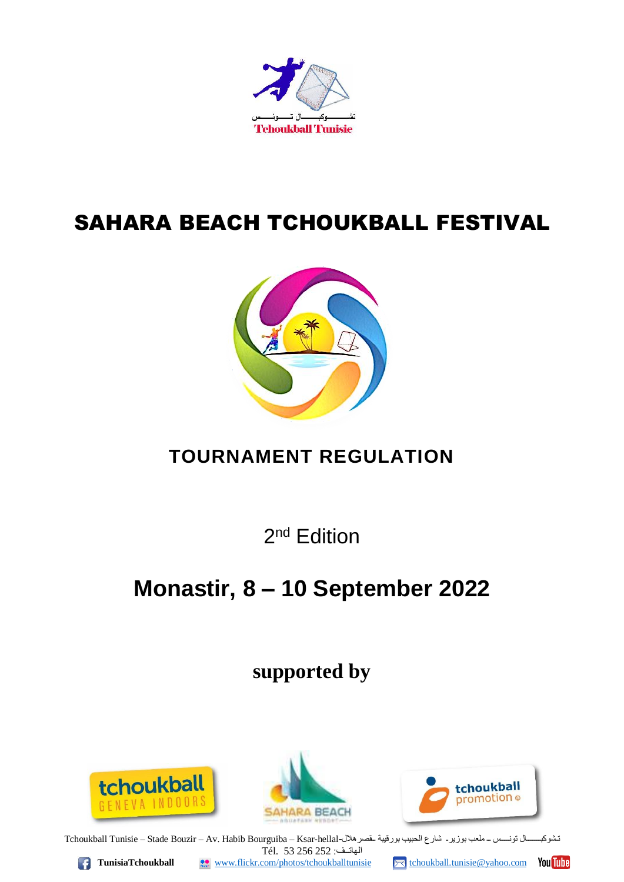

# SAHARA BEACH TCHOUKBALL FESTIVAL



## **TOURNAMENT REGULATION**

2<sup>nd</sup> Edition

# **Monastir, 8 – 10 September 2022**

**supported by**







تـشوكبـــــــال تونــــس ــ ملعب بوزير- شارع الحبيب بورقيبة ــقصرهال-Tchoukball Tunisie – Stade Bouzir – Av. Habib Bourguiba – Ksar-hellal الهاتــف: 252 256 53 .Tél

**TunisiaTchoukball WWW.flickr.com/photos/tchoukballtunisie** Mchoukball.tunisie@yahoo.com You uhe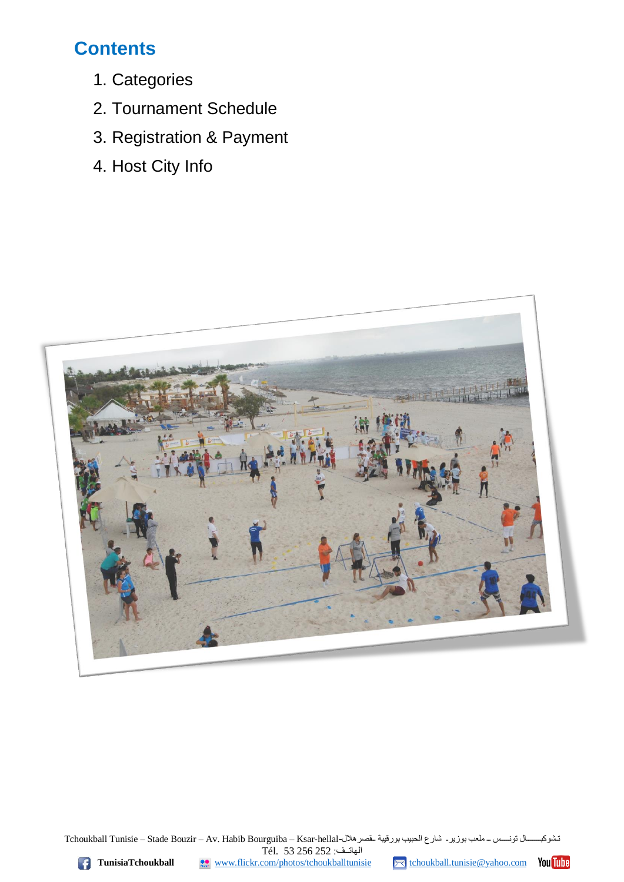### **Contents**

- 1. Categories
- 2. Tournament Schedule
- 3. Registration & Payment
- 4. Host City Info



تـشوكبــــــــال تونــــس ـــ ملعب بوزير ــ شارع الحبيب بورقيبة ــقصرهلال-Tchoukball Tunisie – Stade Bouzir – Av. Habib Bourguiba – Ksar-hellal الهاتــف: 252 256 53 .Tél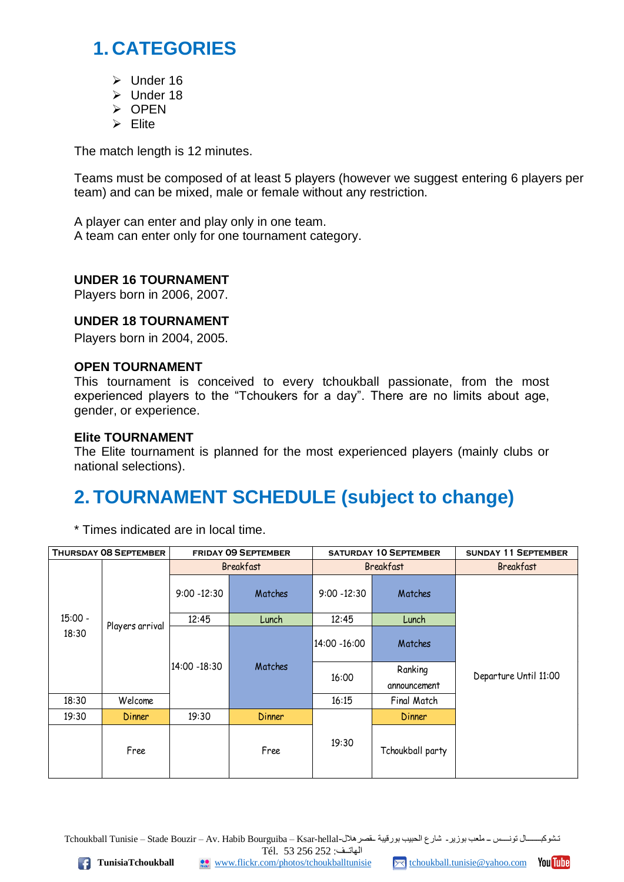### **1. CATEGORIES**

- ➢ Under 16
- ➢ Under 18
- ➢ OPEN
- ➢ Elite

The match length is 12 minutes.

Teams must be composed of at least 5 players (however we suggest entering 6 players per team) and can be mixed, male or female without any restriction.

A player can enter and play only in one team. A team can enter only for one tournament category.

#### **UNDER 16 TOURNAMENT**

Players born in 2006, 2007.

#### **UNDER 18 TOURNAMENT**

Players born in 2004, 2005.

#### **OPEN TOURNAMENT**

This tournament is conceived to every tchoukball passionate, from the most experienced players to the "Tchoukers for a day". There are no limits about age, gender, or experience.

#### **Elite TOURNAMENT**

The Elite tournament is planned for the most experienced players (mainly clubs or national selections).

### **2. TOURNAMENT SCHEDULE (subject to change)**

\* Times indicated are in local time.

| <b>THURSDAY 08 SEPTEMBER</b> |                 | <b>FRIDAY 09 SEPTEMBER</b> |         | <b>SATURDAY 10 SEPTEMBER</b> |                         | <b>SUNDAY 11 SEPTEMBER</b> |
|------------------------------|-----------------|----------------------------|---------|------------------------------|-------------------------|----------------------------|
| $15:00 -$<br>18:30           | Players arrival | <b>Breakfast</b>           |         | <b>Breakfast</b>             |                         | <b>Breakfast</b>           |
|                              |                 | $9:00 - 12:30$             | Matches | $9:00 - 12:30$               | Matches                 | Departure Until 11:00      |
|                              |                 | 12:45                      | Lunch   | 12:45                        | Lunch                   |                            |
|                              |                 | 14:00 - 18:30              | Matches | 14:00 - 16:00                | Matches                 |                            |
|                              |                 |                            |         | 16:00                        | Ranking<br>announcement |                            |
| 18:30                        | Welcome         |                            |         | 16:15                        | Final Match             |                            |
| 19:30                        | Dinner          | 19:30                      | Dinner  |                              | Dinner                  |                            |
|                              | Free            |                            | Free    | 19:30                        | Tchoukball party        |                            |

تـشوكبـــــــال تونــــس ــ ملعب بوزير- شارع الحبيب بورقيبة ــقصرهلال-Tchoukball Tunisie – Stade Bouzir – Av. Habib Bourguiba – Ksar-hellal الهاتــف: 252 256 53 .Tél

**TunisiaTchoukball WWW.flickr.com/photos/tchoukballtunisie** [tchoukball.tunisie@yahoo.com](mailto:tchoukball.tunisie@yahoo.com) **You up**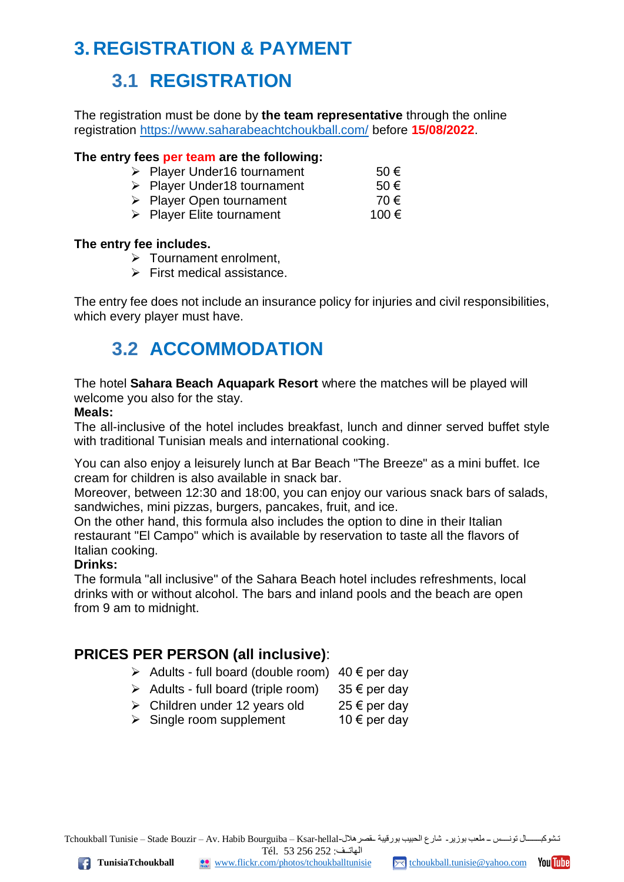### **3. REGISTRATION & PAYMENT**

### **3.1 REGISTRATION**

The registration must be done by **the team representative** through the online registration <https://www.saharabeachtchoukball.com/> before **15/08/2022**.

#### **The entry fees per team are the following:**

- $\triangleright$  Player Under16 tournament 50  $\epsilon$
- $\triangleright$  Player Under18 tournament 50  $\epsilon$
- ➢ Player Open tournament 70 €
- $\triangleright$  Player Elite tournament 100  $\epsilon$

#### **The entry fee includes.**

- ➢ Tournament enrolment,
- ➢ First medical assistance.

The entry fee does not include an insurance policy for injuries and civil responsibilities, which every player must have.

### **3.2 ACCOMMODATION**

The hotel **Sahara Beach Aquapark Resort** where the matches will be played will welcome you also for the stay.

#### **Meals:**

The all-inclusive of the hotel includes breakfast, lunch and dinner served buffet style with traditional Tunisian meals and international cooking.

You can also enjoy a leisurely lunch at Bar Beach "The Breeze" as a mini buffet. Ice cream for children is also available in snack bar.

Moreover, between 12:30 and 18:00, you can enjoy our various snack bars of salads, sandwiches, mini pizzas, burgers, pancakes, fruit, and ice.

On the other hand, this formula also includes the option to dine in their Italian restaurant "El Campo" which is available by reservation to taste all the flavors of Italian cooking.

#### **Drinks:**

The formula "all inclusive" of the Sahara Beach hotel includes refreshments, local drinks with or without alcohol. The bars and inland pools and the beach are open from 9 am to midnight.

#### **PRICES PER PERSON (all inclusive)**:

- $\geq$  Adults full board (double room) 40  $\epsilon$  per day
- $\triangleright$  Adults full board (triple room) 35  $\epsilon$  per day
- $\triangleright$  Children under 12 years old  $25 \in \text{per day}$
- $\triangleright$  Single room supplement 10  $\epsilon$  per day